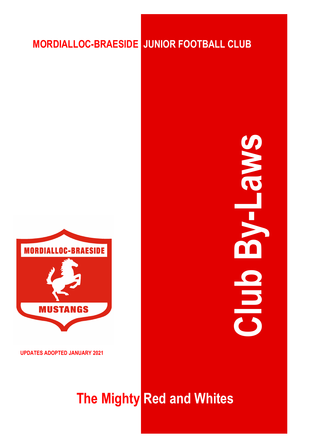## **MORDIALLOC-BRAESIDE JUNIOR FOOTBALL CLUB**



**UPDATES ADOPTED JANUARY 2021**

# **The Mighty Red and Whites**

**Club By -Laws**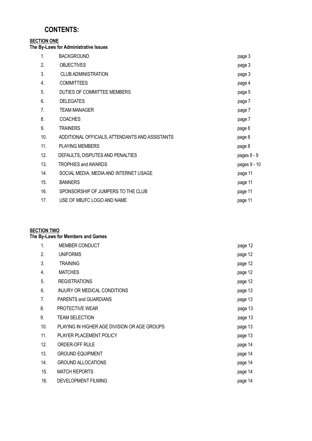### **CONTENTS:**

#### **SECTION ONE**

**The By-Laws for Administrative Issues**

| 1.  | <b>BACKGROUND</b>                               | page 3       |
|-----|-------------------------------------------------|--------------|
| 2.  | <b>OBJECTIVES</b>                               | page 3       |
| 3.  | <b>CLUB ADMINISTRATION</b>                      | page 3       |
| 4.  | <b>COMMITTEES</b>                               | page 4       |
| 5.  | DUTIES OF COMMITTEE MEMBERS                     | page 5       |
| 6.  | <b>DELEGATES</b>                                | page 7       |
| 7.  | <b>TEAM MANAGER</b>                             | page 7       |
| 8.  | <b>COACHES</b>                                  | page 7       |
| 9.  | <b>TRAINERS</b>                                 | page 8       |
| 10. | ADDITIONAL OFFICIALS, ATTENDANTS AND ASSISTANTS | page 8       |
| 11. | <b>PLAYING MEMBERS</b>                          | page 8       |
| 12. | DEFAULTS, DISPUTES AND PENALTIES                | pages 8 - 9  |
| 13. | <b>TROPHIES and AWARDS</b>                      | pages 9 - 10 |
| 14. | SOCIAL MEDIA, MEDIA AND INTERNET USAGE          | page 11      |
| 15. | <b>BANNERS</b>                                  | page 11      |
| 16. | SPONSORSHIP OF JUMPERS TO THE CLUB              | page 11      |
| 17. | USE OF MBJFC LOGO AND NAME                      | page 11      |

#### **SECTION TWO**

**The By-Laws for Members and Games**

| 1.  | MEMBER CONDUCT                               | page 12 |
|-----|----------------------------------------------|---------|
| 2.  | <b>UNIFORMS</b>                              | page 12 |
| 3.  | <b>TRAINING</b>                              | page 12 |
| 4.  | <b>MATCHES</b>                               | page 12 |
| 5.  | <b>REGISTRATIONS</b>                         | page 12 |
| 6.  | INJURY OR MEDICAL CONDITIONS                 | page 13 |
| 7.  | PARENTS and GUARDIANS                        | page 13 |
| 8.  | PROTECTIVE WEAR                              | page 13 |
| 9.  | <b>TEAM SELECTION</b>                        | page 13 |
| 10. | PLAYING IN HIGHER AGE DIVISION OR AGE GROUPS | page 13 |
| 11. | PLAYER PLACEMENT POLICY                      | page 13 |
| 12. | <b>ORDER-OFF RULE</b>                        | page 14 |
| 13. | <b>GROUND EQUIPMENT</b>                      | page 14 |
| 14. | <b>GROUND ALLOCATIONS</b>                    | page 14 |
| 15. | <b>MATCH REPORTS</b>                         | page 14 |
| 16. | DEVELOPMENT FILMING                          | page 14 |
|     |                                              |         |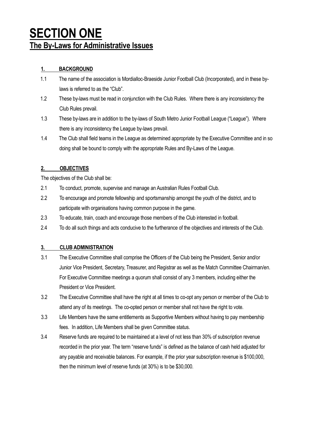## **SECTION ONE The By-Laws for Administrative Issues**

#### **1. BACKGROUND**

- 1.1 The name of the association is Mordialloc-Braeside Junior Football Club (Incorporated), and in these bylaws is referred to as the "Club".
- 1.2 These by-laws must be read in conjunction with the Club Rules. Where there is any inconsistency the Club Rules prevail.
- 1.3 These by-laws are in addition to the by-laws of South Metro Junior Football League ("League"). Where there is any inconsistency the League by-laws prevail.
- 1.4 The Club shall field teams in the League as determined appropriate by the Executive Committee and in so doing shall be bound to comply with the appropriate Rules and By-Laws of the League.

#### **2. OBJECTIVES**

The objectives of the Club shall be:

- 2.1 To conduct, promote, supervise and manage an Australian Rules Football Club.
- 2.2 To encourage and promote fellowship and sportsmanship amongst the youth of the district, and to participate with organisations having common purpose in the game.
- 2.3 To educate, train, coach and encourage those members of the Club interested in football.
- 2.4 To do all such things and acts conducive to the furtherance of the objectives and interests of the Club.

#### **3. CLUB ADMINISTRATION**

- 3.1 The Executive Committee shall comprise the Officers of the Club being the President, Senior and/or Junior Vice President, Secretary, Treasurer, and Registrar as well as the Match Committee Chairman/en. For Executive Committee meetings a quorum shall consist of any 3 members, including either the President or Vice President.
- 3.2 The Executive Committee shall have the right at all times to co-opt any person or member of the Club to attend any of its meetings. The co-opted person or member shall not have the right to vote.
- 3.3 Life Members have the same entitlements as Supportive Members without having to pay membership fees. In addition, Life Members shall be given Committee status.
- 3.4 Reserve funds are required to be maintained at a level of not less than 30% of subscription revenue recorded in the prior year. The term "reserve funds" is defined as the balance of cash held adjusted for any payable and receivable balances. For example, if the prior year subscription revenue is \$100,000, then the minimum level of reserve funds (at 30%) is to be \$30,000.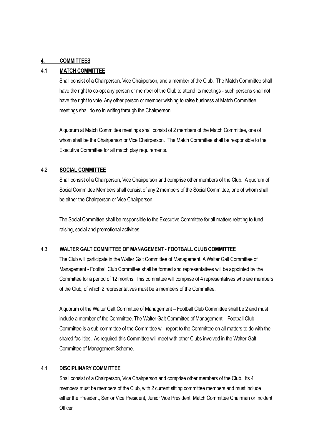#### **4. COMMITTEES**

#### 4.1 **MATCH COMMITTEE**

Shall consist of a Chairperson, Vice Chairperson, and a member of the Club. The Match Committee shall have the right to co-opt any person or member of the Club to attend its meetings - such persons shall not have the right to vote. Any other person or member wishing to raise business at Match Committee meetings shall do so in writing through the Chairperson.

A quorum at Match Committee meetings shall consist of 2 members of the Match Committee, one of whom shall be the Chairperson or Vice Chairperson. The Match Committee shall be responsible to the Executive Committee for all match play requirements.

#### 4.2 **SOCIAL COMMITTEE**

Shall consist of a Chairperson, Vice Chairperson and comprise other members of the Club. A quorum of Social Committee Members shall consist of any 2 members of the Social Committee, one of whom shall be either the Chairperson or Vice Chairperson.

The Social Committee shall be responsible to the Executive Committee for all matters relating to fund raising, social and promotional activities.

#### 4.3 **WALTER GALT COMMITTEE OF MANAGEMENT - FOOTBALL CLUB COMMITTEE**

The Club will participate in the Walter Galt Committee of Management. A Walter Galt Committee of Management - Football Club Committee shall be formed and representatives will be appointed by the Committee for a period of 12 months. This committee will comprise of 4 representatives who are members of the Club, of which 2 representatives must be a members of the Committee.

A quorum of the Walter Galt Committee of Management – Football Club Committee shall be 2 and must include a member of the Committee. The Walter Galt Committee of Management – Football Club Committee is a sub-committee of the Committee will report to the Committee on all matters to do with the shared facilities. As required this Committee will meet with other Clubs involved in the Walter Galt Committee of Management Scheme.

#### 4.4 **DISCIPLINARY COMMITTEE**

Shall consist of a Chairperson, Vice Chairperson and comprise other members of the Club. Its 4 members must be members of the Club, with 2 current sitting committee members and must include either the President, Senior Vice President, Junior Vice President, Match Committee Chairman or Incident Officer.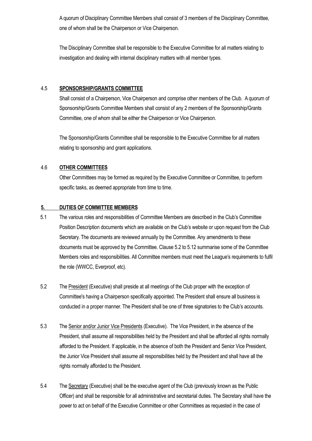A quorum of Disciplinary Committee Members shall consist of 3 members of the Disciplinary Committee, one of whom shall be the Chairperson or Vice Chairperson.

The Disciplinary Committee shall be responsible to the Executive Committee for all matters relating to investigation and dealing with internal disciplinary matters with all member types.

#### 4.5 **SPONSORSHIP/GRANTS COMMITTEE**

Shall consist of a Chairperson, Vice Chairperson and comprise other members of the Club. A quorum of Sponsorship/Grants Committee Members shall consist of any 2 members of the Sponsorship/Grants Committee, one of whom shall be either the Chairperson or Vice Chairperson.

The Sponsorship/Grants Committee shall be responsible to the Executive Committee for all matters relating to sponsorship and grant applications.

#### 4.6 **OTHER COMMITTEES**

Other Committees may be formed as required by the Executive Committee or Committee, to perform specific tasks, as deemed appropriate from time to time.

#### **5. DUTIES OF COMMITTEE MEMBERS**

- 5.1 The various roles and responsibilities of Committee Members are described in the Club's Committee Position Description documents which are available on the Club's website or upon request from the Club Secretary. The documents are reviewed annually by the Committee. Any amendments to these documents must be approved by the Committee. Clause 5.2 to 5.12 summarise some of the Committee Members roles and responsibilities. All Committee members must meet the League's requirements to fulfil the role (WWCC, Everproof, etc).
- 5.2 The President (Executive) shall preside at all meetings of the Club proper with the exception of Committee's having a Chairperson specifically appointed. The President shall ensure all business is conducted in a proper manner. The President shall be one of three signatories to the Club's accounts.
- 5.3 The Senior and/or Junior Vice Presidents (Executive). The Vice President, in the absence of the President, shall assume all responsibilities held by the President and shall be afforded all rights normally afforded to the President. If applicable, in the absence of both the President and Senior Vice President, the Junior Vice President shall assume all responsibilities held by the President and shall have all the rights normally afforded to the President.
- 5.4 The Secretary (Executive) shall be the executive agent of the Club (previously known as the Public Officer) and shall be responsible for all administrative and secretarial duties. The Secretary shall have the power to act on behalf of the Executive Committee or other Committees as requested in the case of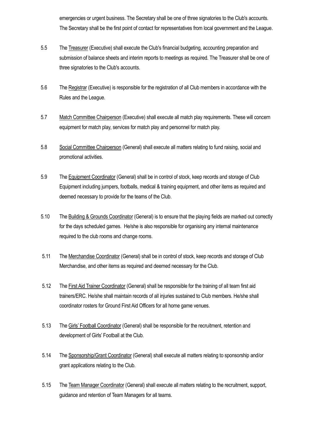emergencies or urgent business. The Secretary shall be one of three signatories to the Club's accounts. The Secretary shall be the first point of contact for representatives from local government and the League.

- 5.5 The Treasurer (Executive) shall execute the Club's financial budgeting, accounting preparation and submission of balance sheets and interim reports to meetings as required. The Treasurer shall be one of three signatories to the Club's accounts.
- 5.6 The Registrar (Executive) is responsible for the registration of all Club members in accordance with the Rules and the League.
- 5.7 Match Committee Chairperson (Executive) shall execute all match play requirements. These will concern equipment for match play, services for match play and personnel for match play.
- 5.8 Social Committee Chairperson (General) shall execute all matters relating to fund raising, social and promotional activities.
- 5.9 The Equipment Coordinator (General) shall be in control of stock, keep records and storage of Club Equipment including jumpers, footballs, medical & training equipment, and other items as required and deemed necessary to provide for the teams of the Club.
- 5.10 The Building & Grounds Coordinator (General) is to ensure that the playing fields are marked out correctly for the days scheduled games. He/she is also responsible for organising any internal maintenance required to the club rooms and change rooms.
- 5.11 The Merchandise Coordinator (General) shall be in control of stock, keep records and storage of Club Merchandise, and other items as required and deemed necessary for the Club.
- 5.12 The First Aid Trainer Coordinator (General) shall be responsible for the training of all team first aid trainers/ERC. He/she shall maintain records of all injuries sustained to Club members. He/she shall coordinator rosters for Ground First Aid Officers for all home game venues.
- 5.13 The Girls' Football Coordinator (General) shall be responsible for the recruitment, retention and development of Girls' Football at the Club.
- 5.14 The Sponsorship/Grant Coordinator (General) shall execute all matters relating to sponsorship and/or grant applications relating to the Club.
- 5.15 The Team Manager Coordinator (General) shall execute all matters relating to the recruitment, support, guidance and retention of Team Managers for all teams.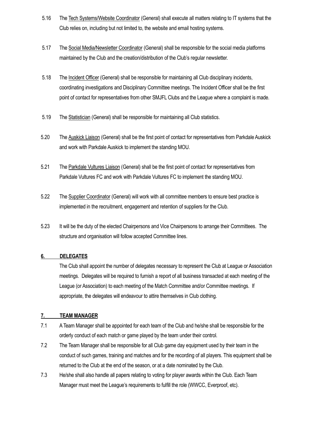- 5.16 The Tech Systems/Website Coordinator (General) shall execute all matters relating to IT systems that the Club relies on, including but not limited to, the website and email hosting systems.
- 5.17 The Social Media/Newsletter Coordinator (General) shall be responsible for the social media platforms maintained by the Club and the creation/distribution of the Club's regular newsletter.
- 5.18 The Incident Officer (General) shall be responsible for maintaining all Club disciplinary incidents, coordinating investigations and Disciplinary Committee meetings. The Incident Officer shall be the first point of contact for representatives from other SMJFL Clubs and the League where a complaint is made.
- 5.19 The Statistician (General) shall be responsible for maintaining all Club statistics.
- 5.20 The Auskick Liaison (General) shall be the first point of contact for representatives from Parkdale Auskick and work with Parkdale Auskick to implement the standing MOU.
- 5.21 The Parkdale Vultures Liaison (General) shall be the first point of contact for representatives from Parkdale Vultures FC and work with Parkdale Vultures FC to implement the standing MOU.
- 5.22 The Supplier Coordinator (General) will work with all committee members to ensure best practice is implemented in the recruitment, engagement and retention of suppliers for the Club.
- 5.23 It will be the duty of the elected Chairpersons and Vice Chairpersons to arrange their Committees. The structure and organisation will follow accepted Committee lines.

#### **6. DELEGATES**

The Club shall appoint the number of delegates necessary to represent the Club at League or Association meetings. Delegates will be required to furnish a report of all business transacted at each meeting of the League (or Association) to each meeting of the Match Committee and/or Committee meetings. If appropriate, the delegates will endeavour to attire themselves in Club clothing.

#### **7. TEAM MANAGER**

- 7.1 A Team Manager shall be appointed for each team of the Club and he/she shall be responsible for the orderly conduct of each match or game played by the team under their control.
- 7.2 The Team Manager shall be responsible for all Club game day equipment used by their team in the conduct of such games, training and matches and for the recording of all players. This equipment shall be returned to the Club at the end of the season, or at a date nominated by the Club.
- 7.3 He/she shall also handle all papers relating to voting for player awards within the Club. Each Team Manager must meet the League's requirements to fulfill the role (WWCC, Everproof, etc).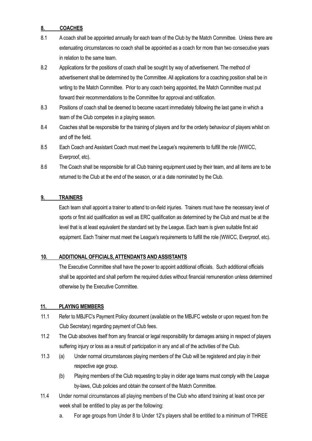#### **8. COACHES**

- 8.1 A coach shall be appointed annually for each team of the Club by the Match Committee. Unless there are extenuating circumstances no coach shall be appointed as a coach for more than two consecutive years in relation to the same team.
- 8.2 Applications for the positions of coach shall be sought by way of advertisement. The method of advertisement shall be determined by the Committee. All applications for a coaching position shall be in writing to the Match Committee. Prior to any coach being appointed, the Match Committee must put forward their recommendations to the Committee for approval and ratification.
- 8.3 Positions of coach shall be deemed to become vacant immediately following the last game in which a team of the Club competes in a playing season.
- 8.4 Coaches shall be responsible for the training of players and for the orderly behaviour of players whilst on and off the field.
- 8.5 Each Coach and Assistant Coach must meet the League's requirements to fulfill the role (WWCC, Everproof, etc).
- 8.6 The Coach shall be responsible for all Club training equipment used by their team, and all items are to be returned to the Club at the end of the season, or at a date nominated by the Club.

#### **9. TRAINERS**

Each team shall appoint a trainer to attend to on-field injuries. Trainers must have the necessary level of sports or first aid qualification as well as ERC qualification as determined by the Club and must be at the level that is at least equivalent the standard set by the League. Each team is given suitable first aid equipment. Each Trainer must meet the League's requirements to fulfill the role (WWCC, Everproof, etc).

#### **10. ADDITIONAL OFFICIALS, ATTENDANTS AND ASSISTANTS**

The Executive Committee shall have the power to appoint additional officials. Such additional officials shall be appointed and shall perform the required duties without financial remuneration unless determined otherwise by the Executive Committee.

#### **11. PLAYING MEMBERS**

- 11.1 Refer to MBJFC's Payment Policy document (available on the MBJFC website or upon request from the Club Secretary) regarding payment of Club fees.
- 11.2 The Club absolves itself from any financial or legal responsibility for damages arising in respect of players suffering injury or loss as a result of participation in any and all of the activities of the Club.
- 11.3 (a) Under normal circumstances playing members of the Club will be registered and play in their respective age group.
	- (b) Playing members of the Club requesting to play in older age teams must comply with the League by-laws, Club policies and obtain the consent of the Match Committee.
- 11.4 Under normal circumstances all playing members of the Club who attend training at least once per week shall be entitled to play as per the following:
	- a. For age groups from Under 8 to Under 12's players shall be entitled to a minimum of THREE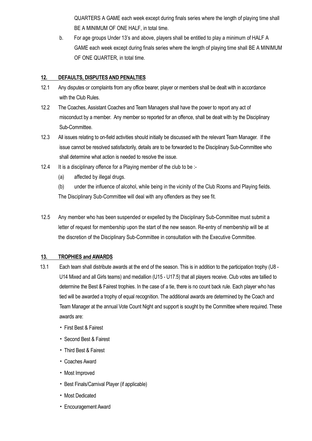QUARTERS A GAME each week except during finals series where the length of playing time shall BE A MINIMUM OF ONE HALF, in total time.

b. For age groups Under 13's and above, players shall be entitled to play a minimum of HALF A GAME each week except during finals series where the length of playing time shall BE A MINIMUM OF ONE QUARTER, in total time.

#### **12. DEFAULTS, DISPUTES AND PENALTIES**

- 12.1 Any disputes or complaints from any office bearer, player or members shall be dealt with in accordance with the Club Rules.
- 12.2 The Coaches, Assistant Coaches and Team Managers shall have the power to report any act of misconduct by a member. Any member so reported for an offence, shall be dealt with by the Disciplinary Sub-Committee.
- 12.3 All issues relating to on-field activities should initially be discussed with the relevant Team Manager. If the issue cannot be resolved satisfactorily, details are to be forwarded to the Disciplinary Sub-Committee who shall determine what action is needed to resolve the issue.
- 12.4 It is a disciplinary offence for a Playing member of the club to be :-
	- (a) affected by illegal drugs.

(b) under the influence of alcohol, while being in the vicinity of the Club Rooms and Playing fields. The Disciplinary Sub-Committee will deal with any offenders as they see fit.

12.5 Any member who has been suspended or expelled by the Disciplinary Sub-Committee must submit a letter of request for membership upon the start of the new season. Re-entry of membership will be at the discretion of the Disciplinary Sub-Committee in consultation with the Executive Committee.

#### **13. TROPHIES and AWARDS**

- 13.1 Each team shall distribute awards at the end of the season. This is in addition to the participation trophy (U8 U14 Mixed and all Girls teams) and medallion (U15 - U17.5) that all players receive. Club votes are tallied to determine the Best & Fairest trophies. In the case of a tie, there is no count back rule. Each player who has tied will be awarded a trophy of equal recognition. The additional awards are determined by the Coach and Team Manager at the annual Vote Count Night and support is sought by the Committee where required. These awards are:
	- First Best & Fairest
	- Second Best & Fairest
	- Third Best & Fairest
	- Coaches Award
	- Most Improved
	- Best Finals/Carnival Player (if applicable)
	- Most Dedicated
	- Encouragement Award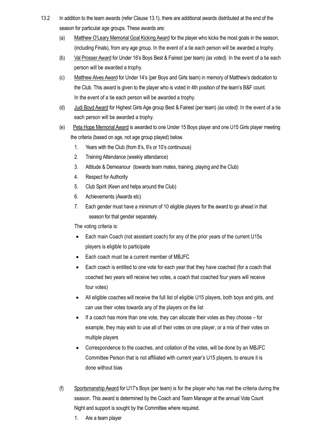- 13.2 In addition to the team awards (refer Clause 13.1), there are additional awards distributed at the end of the season for particular age groups. These awards are:
	- (a) Matthew O'Leary Memorial Goal Kicking Award for the player who kicks the most goals in the season, (including Finals), from any age group. In the event of a tie each person will be awarded a trophy.
	- (b) Val Prosser Award for Under 16's Boys Best & Fairest (per team) *(as voted).* In the event of a tie each person will be awarded a trophy.
	- (c) Matthew Alves Award for Under 14's (per Boys and Girls team) in memory of Matthew's dedication to the Club. This award is given to the player who is voted in 4th position of the team's B&F count. In the event of a tie each person will be awarded a trophy.
	- (d) Judi Boyd Award for Highest Girls Age group Best & Fairest (per team) *(as voted).* In the event of a tie each person will be awarded a trophy.
	- (e) Peta Hope Memorial Award is awarded to one Under 15 Boys player and one U15 Girls player meeting the criteria (based on age, not age group played) below.
		- 1. Years with the Club (from 8's, 9's or 10's continuous)
		- 2. Training Attendance (weekly attendance)
		- 3. Attitude & Demeanour (towards team mates, training, playing and the Club)
		- 4. Respect for Authority
		- 5. Club Spirit (Keen and helps around the Club)
		- 6. Achievements (Awards etc)
		- 7. Each gender must have a minimum of 10 eligible players for the award to go ahead in that season for that gender separately.

The voting criteria is:

- Each main Coach (not assistant coach) for any of the prior years of the current U15s players is eligible to participate
- Each coach must be a current member of MBJFC
- Each coach is entitled to one vote for each year that they have coached (for a coach that coached two years will receive two votes, a coach that coached four years will receive four votes)
- All eligible coaches will receive the full list of eligible U15 players, both boys and girls, and can use their votes towards any of the players on the list
- If a coach has more than one vote, they can allocate their votes as they choose for example, they may wish to use all of their votes on one player, or a mix of their votes on multiple players
- Correspondence to the coaches, and collation of the votes, will be done by an MBJFC Committee Person that is not affiliated with current year's U15 players, to ensure it is done without bias
- (f) Sportsmanship Award for U17's Boys (per team) is for the player who has met the criteria during the season. This award is determined by the Coach and Team Manager at the annual Vote Count Night and support is sought by the Committee where required.
	- 1. Are a team player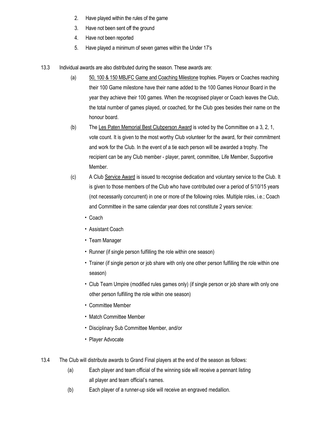- 2. Have played within the rules of the game
- 3. Have not been sent off the ground
- 4. Have not been reported
- 5. Have played a minimum of seven games within the Under 17's
- 13.3 Individual awards are also distributed during the season. These awards are:
	- (a) 50, 100 & 150 MBJFC Game and Coaching Milestone trophies. Players or Coaches reaching their 100 Game milestone have their name added to the 100 Games Honour Board in the year they achieve their 100 games. When the recognised player or Coach leaves the Club, the total number of games played, or coached, for the Club goes besides their name on the honour board.
	- (b) The Les Paten Memorial Best Clubperson Award is voted by the Committee on a 3, 2, 1, vote count. It is given to the most worthy Club volunteer for the award, for their commitment and work for the Club. In the event of a tie each person will be awarded a trophy. The recipient can be any Club member - player, parent, committee, Life Member, Supportive Member.
	- (c) A Club Service Award is issued to recognise dedication and voluntary service to the Club. It is given to those members of the Club who have contributed over a period of 5/10/15 years (not necessarily concurrent) in one or more of the following roles. Multiple roles, i.e.; Coach and Committee in the same calendar year does not constitute 2 years service:
		- Coach
		- Assistant Coach
		- Team Manager
		- Runner (if single person fulfilling the role within one season)
		- Trainer (if single person or job share with only one other person fulfilling the role within one season)
		- Club Team Umpire (modified rules games only) (if single person or job share with only one other person fulfilling the role within one season)
		- Committee Member
		- Match Committee Member
		- Disciplinary Sub Committee Member, and/or
		- Player Advocate
- 13.4 The Club will distribute awards to Grand Final players at the end of the season as follows:
	- (a) Each player and team official of the winning side will receive a pennant listing all player and team official's names.
	- (b) Each player of a runner-up side will receive an engraved medallion.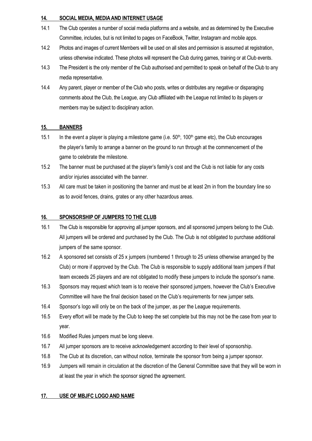#### **14. SOCIAL MEDIA, MEDIAAND INTERNET USAGE**

- 14.1 The Club operates a number of social media platforms and a website, and as determined by the Executive Committee, includes, but is not limited to pages on FaceBook, Twitter, Instagram and mobile apps.
- 14.2 Photos and images of current Members will be used on all sites and permission is assumed at registration, unless otherwise indicated. These photos will represent the Club during games, training or at Club events.
- 14.3 The President is the only member of the Club authorised and permitted to speak on behalf of the Club to any media representative.
- 14.4 Any parent, player or member of the Club who posts, writes or distributes any negative or disparaging comments about the Club, the League, any Club affiliated with the League not limited to its players or members may be subject to disciplinary action.

#### **15. BANNERS**

- 15.1 In the event a player is playing a milestone game (i.e.  $50<sup>th</sup>$ , 100<sup>th</sup> game etc), the Club encourages the player's family to arrange a banner on the ground to run through at the commencement of the game to celebrate the milestone.
- 15.2 The banner must be purchased at the player's family's cost and the Club is not liable for any costs and/or injuries associated with the banner.
- 15.3 All care must be taken in positioning the banner and must be at least 2m in from the boundary line so as to avoid fences, drains, grates or any other hazardous areas.

#### **16. SPONSORSHIP OF JUMPERS TO THE CLUB**

- 16.1 The Club is responsible for approving all jumper sponsors, and all sponsored jumpers belong to the Club. All jumpers will be ordered and purchased by the Club. The Club is not obligated to purchase additional jumpers of the same sponsor.
- 16.2 A sponsored set consists of 25 x jumpers (numbered 1 through to 25 unless otherwise arranged by the Club) or more if approved by the Club. The Club is responsible to supply additional team jumpers if that team exceeds 25 players and are not obligated to modify these jumpers to include the sponsor's name.
- 16.3 Sponsors may request which team is to receive their sponsored jumpers, however the Club's Executive Committee will have the final decision based on the Club's requirements for new jumper sets.
- 16.4 Sponsor's logo will only be on the back of the jumper, as per the League requirements.
- 16.5 Every effort will be made by the Club to keep the set complete but this may not be the case from year to year.
- 16.6 Modified Rules jumpers must be long sleeve.
- 16.7 All jumper sponsors are to receive acknowledgement according to their level of sponsorship.
- 16.8 The Club at its discretion, can without notice, terminate the sponsor from being a jumper sponsor.
- 16.9 Jumpers will remain in circulation at the discretion of the General Committee save that they will be worn in at least the year in which the sponsor signed the agreement.

#### **17. USE OF MBJFC LOGO AND NAME**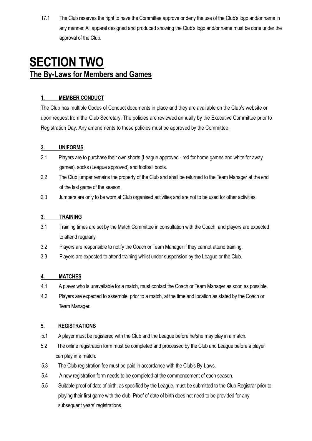17.1 The Club reserves the right to have the Committee approve or deny the use of the Club's logo and/or name in any manner. All apparel designed and produced showing the Club's logo and/or name must be done under the approval of the Club.

## **SECTION TWO The By-Laws for Members and Games**

#### **1. MEMBER CONDUCT**

The Club has multiple Codes of Conduct documents in place and they are available on the Club's website or upon request from the Club Secretary. The policies are reviewed annually by the Executive Committee prior to Registration Day. Any amendments to these policies must be approved by the Committee.

#### **2. UNIFORMS**

- 2.1 Players are to purchase their own shorts (League approved red for home games and white for away games), socks (League approved) and football boots.
- 2.2 The Club jumper remains the property of the Club and shall be returned to the Team Manager at the end of the last game of the season.
- 2.3 Jumpers are only to be worn at Club organised activities and are not to be used for other activities.

#### **3. TRAINING**

- 3.1 Training times are set by the Match Committee in consultation with the Coach, and players are expected to attend regularly.
- 3.2 Players are responsible to notify the Coach or Team Manager if they cannot attend training.
- 3.3 Players are expected to attend training whilst under suspension by the League or the Club.

#### **4. MATCHES**

- 4.1 A player who is unavailable for a match, must contact the Coach or Team Manager as soon as possible.
- 4.2 Players are expected to assemble, prior to a match, at the time and location as stated by the Coach or Team Manager.

#### **5. REGISTRATIONS**

- 5.1 A player must be registered with the Club and the League before he/she may play in a match.
- 5.2 The online registration form must be completed and processed by the Club and League before a player can play in a match.
- 5.3 The Club registration fee must be paid in accordance with the Club's By-Laws.
- 5.4 A new registration form needs to be completed at the commencement of each season.
- 5.5 Suitable proof of date of birth, as specified by the League, must be submitted to the Club Registrar prior to playing their first game with the club. Proof of date of birth does not need to be provided for any subsequent years' registrations.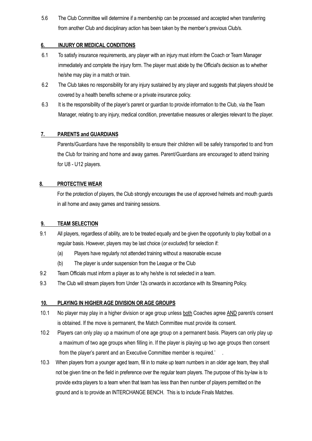5.6 The Club Committee will determine if a membership can be processed and accepted when transferring from another Club and disciplinary action has been taken by the member's previous Club/s.

#### **6. INJURY OR MEDICAL CONDITIONS**

- 6.1 To satisfy insurance requirements, any player with an injury must inform the Coach or Team Manager immediately and complete the injury form. The player must abide by the Official's decision as to whether he/she may play in a match or train.
- 6.2 The Club takes no responsibility for any injury sustained by any player and suggests that players should be covered by a health benefits scheme or a private insurance policy.
- 6.3 It is the responsibility of the player's parent or guardian to provide information to the Club, via the Team Manager, relating to any injury, medical condition, preventative measures or allergies relevant to the player.

#### **7. PARENTS and GUARDIANS**

Parents/Guardians have the responsibility to ensure their children will be safely transported to and from the Club for training and home and away games. Parent/Guardians are encouraged to attend training for U8 - U12 players.

#### **8. PROTECTIVE WEAR**

For the protection of players, the Club strongly encourages the use of approved helmets and mouth guards in all home and away games and training sessions.

#### **9. TEAM SELECTION**

- 9.1 All players, regardless of ability, are to be treated equally and be given the opportunity to play football on a regular basis. However, players may be last choice (*or excluded*) for selection if:
	- (a) Players have regularly not attended training without a reasonable excuse
	- (b) The player is under suspension from the League or the Club
- 9.2 Team Officials must inform a player as to why he/she is not selected in a team.
- 9.3 The Club will stream players from Under 12s onwards in accordance with its Streaming Policy.

#### **10. PLAYING IN HIGHER AGE DIVISION OR AGE GROUPS**

- 10.1 No player may play in a higher division or age group unless both Coaches agree AND parent/s consent is obtained. If the move is permanent, the Match Committee must provide its consent.
- 10.2 Players can only play up a maximum of one age group on a permanent basis. Players can only play up a maximum of two age groups when filling in. If the player is playing up two age groups then consent from the player's parent and an Executive Committee member is required.' .
- 10.3 When players from a younger aged team, fill in to make up team numbers in an older age team, they shall not be given time on the field in preference over the regular team players. The purpose of this by-law is to provide extra players to a team when that team has less than then number of players permitted on the ground and is to provide an INTERCHANGE BENCH. This is to include Finals Matches.